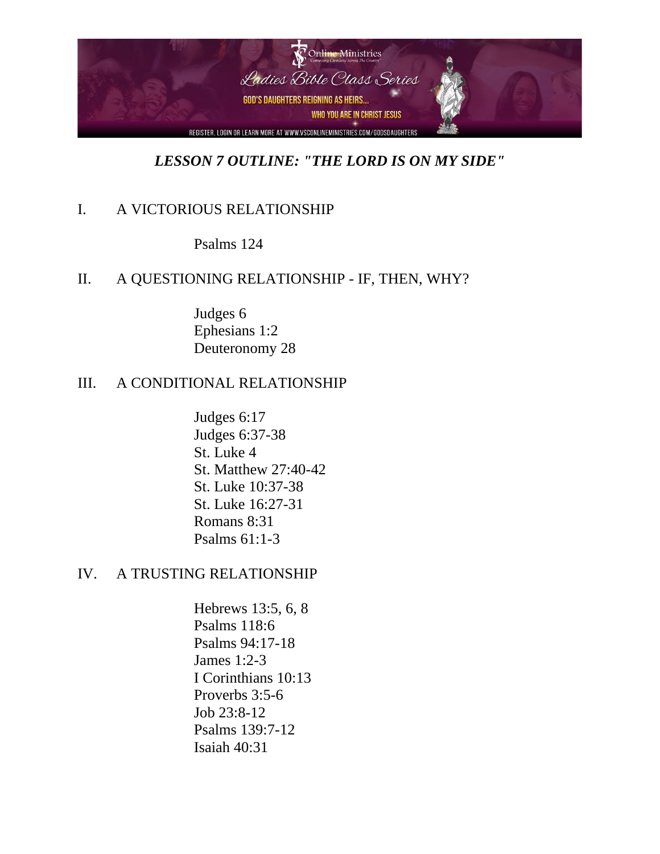

# *LESSON 7 OUTLINE: "THE LORD IS ON MY SIDE"*

## I. A VICTORIOUS RELATIONSHIP

Psalms 124

#### II. A QUESTIONING RELATIONSHIP - IF, THEN, WHY?

Judges 6 Ephesians 1:2 Deuteronomy 28

### III. A CONDITIONAL RELATIONSHIP

Judges 6:17 Judges 6:37-38 St. Luke 4 St. Matthew 27:40-42 St. Luke 10:37-38 St. Luke 16:27-31 Romans 8:31 Psalms 61:1-3

#### IV. A TRUSTING RELATIONSHIP

Hebrews 13:5, 6, 8 Psalms 118:6 Psalms 94:17-18 James 1:2-3 I Corinthians 10:13 Proverbs 3:5-6 Job 23:8-12 Psalms 139:7-12 Isaiah 40:31